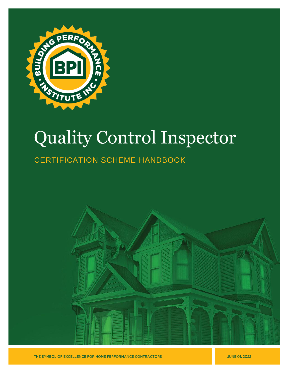

# Quality Control Inspector

## CERTIFICATION SCHEME HANDBOOK



THE SYMBOL OF EXCELLENCE FOR HOME PERFORMANCE CONTRACTORS

**JUNE 01, 2022**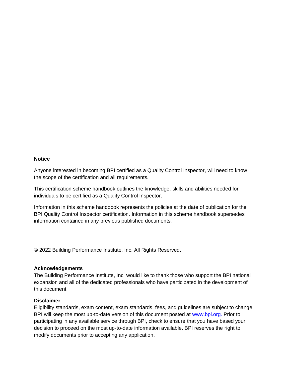#### **Notice**

Anyone interested in becoming BPI certified as a Quality Control Inspector, will need to know the scope of the certification and all requirements.

This certification scheme handbook outlines the knowledge, skills and abilities needed for individuals to be certified as a Quality Control Inspector.

Information in this scheme handbook represents the policies at the date of publication for the BPI Quality Control Inspector certification. Information in this scheme handbook supersedes information contained in any previous published documents.

© 2022 Building Performance Institute, Inc. All Rights Reserved.

#### **Acknowledgements**

The Building Performance Institute, Inc. would like to thank those who support the BPI national expansion and all of the dedicated professionals who have participated in the development of this document.

#### **Disclaimer**

Eligibility standards, exam content, exam standards, fees, and guidelines are subject to change. BPI will keep the most up-to-date version of this document posted at [www.bpi.org.](http://www.bpi.org/) Prior to participating in any available service through BPI, check to ensure that you have based your decision to proceed on the most up-to-date information available. BPI reserves the right to modify documents prior to accepting any application.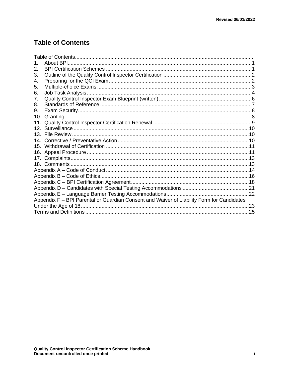## <span id="page-2-0"></span>**Table of Contents**

| 1.                                                                                        | About BPI. |  |  |
|-------------------------------------------------------------------------------------------|------------|--|--|
| 2.                                                                                        |            |  |  |
| 3.                                                                                        |            |  |  |
| 4.                                                                                        |            |  |  |
| 5.                                                                                        |            |  |  |
| 6.                                                                                        |            |  |  |
| 7.                                                                                        |            |  |  |
| 8.                                                                                        |            |  |  |
| 9.                                                                                        |            |  |  |
| 10.                                                                                       |            |  |  |
| 11.                                                                                       |            |  |  |
| 12 <sub>1</sub>                                                                           |            |  |  |
|                                                                                           |            |  |  |
| 14                                                                                        |            |  |  |
|                                                                                           |            |  |  |
|                                                                                           |            |  |  |
| 17.                                                                                       |            |  |  |
|                                                                                           |            |  |  |
|                                                                                           |            |  |  |
|                                                                                           |            |  |  |
|                                                                                           |            |  |  |
|                                                                                           |            |  |  |
|                                                                                           |            |  |  |
| Appendix F - BPI Parental or Guardian Consent and Waiver of Liability Form for Candidates |            |  |  |
|                                                                                           |            |  |  |
|                                                                                           |            |  |  |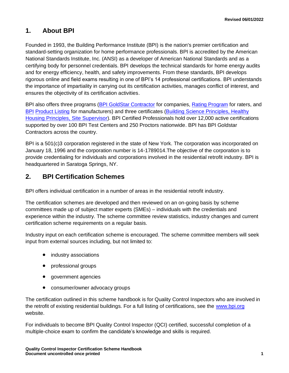## <span id="page-3-0"></span>**1. About BPI**

Founded in 1993, the Building Performance Institute (BPI) is the nation's premier certification and standard-setting organization for home performance professionals. BPI is accredited by the American National Standards Institute, Inc. (ANSI) as a developer of American National Standards and as a certifying body for personnel credentials. BPI develops the technical standards for home energy audits and for energy efficiency, health, and safety improvements. From these standards, BPI develops rigorous online and field exams resulting in one of BPI's 14 professional certifications. BPI understands the importance of impartiality in carrying out its certification activities, manages conflict of interest, and ensures the objectivity of its certification activities.

BPI also offers three programs [\(BPI GoldStar](http://www.bpi.org/bpi-goldstar-contractors) Contractor for companies, [Rating Program](http://www.bpi.org/bpi-raters) for raters, and [BPI](http://www.bpi.org/product-listing) [Product](http://www.bpi.org/product-listing) Listing for manufacturers) and three certificates (Building [Science Principles,](http://www.bpi.org/building-science-principles) [Healthy](http://www.bpi.org/healthy-housing-principles)  [Housing Principles,](http://www.bpi.org/healthy-housing-principles) [Site Supervisor\)](http://www.bpi.org/sitesupervisorcertificate). BPI Certified Professionals hold over 12,000 active certifications supported by over 100 BPI Test Centers and 250 Proctors nationwide. BPI has BPI Goldstar Contractors across the country.

BPI is a 501(c)3 corporation registered in the state of New York. The corporation was incorporated on January 18, 1996 and the corporation number is 14-1789014.The objective of the corporation is to provide credentialing for individuals and corporations involved in the residential retrofit industry. BPI is headquartered in Saratoga Springs, NY.

## <span id="page-3-1"></span>**2. BPI Certification Schemes**

BPI offers individual certification in a number of areas in the residential retrofit industry.

The certification schemes are developed and then reviewed on an on-going basis by scheme committees made up of subject matter experts (SMEs) – individuals with the credentials and experience within the industry. The scheme committee review statistics, industry changes and current certification scheme requirements on a regular basis.

Industry input on each certification scheme is encouraged. The scheme committee members will seek input from external sources including, but not limited to:

- industry associations
- professional groups
- government agencies
- consumer/owner advocacy groups

The certification outlined in this scheme handbook is for Quality Control Inspectors who are involved in the retrofit of existing residential buildings. For a full listing of certifications, see the [www.bpi.org](http://www.bpi.org/) website.

For individuals to become BPI Quality Control Inspector (QCI) certified, successful completion of a multiple-choice exam to confirm the candidate's knowledge and skills is required.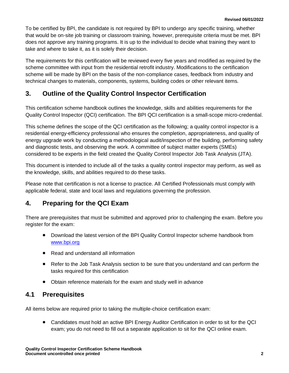To be certified by BPI, the candidate is not required by BPI to undergo any specific training, whether that would be on-site job training or classroom training, however, prerequisite criteria must be met. BPI does not approve any training programs. It is up to the individual to decide what training they want to take and where to take it, as it is solely their decision.

The requirements for this certification will be reviewed every five years and modified as required by the scheme committee with input from the residential retrofit industry. Modifications to the certification scheme will be made by BPI on the basis of the non-compliance cases, feedback from industry and technical changes to materials, components, systems, building codes or other relevant items.

## <span id="page-4-0"></span>**3. Outline of the Quality Control Inspector Certification**

This certification scheme handbook outlines the knowledge, skills and abilities requirements for the Quality Control Inspector (QCI) certification. The BPI QCI certification is a small-scope micro-credential.

This scheme defines the scope of the QCI certification as the following; a quality control inspector is a residential energy-efficiency professional who ensures the completion, appropriateness, and quality of energy upgrade work by conducting a methodological audit/inspection of the building, performing safety and diagnostic tests, and observing the work. A committee of subject matter experts (SMEs) considered to be experts in the field created the Quality Control Inspector Job Task Analysis (JTA).

This document is intended to include all of the tasks a quality control inspector may perform, as well as the knowledge, skills, and abilities required to do these tasks.

Please note that certification is not a license to practice. All Certified Professionals must comply with applicable federal, state and local laws and regulations governing the profession.

## <span id="page-4-1"></span>**4. Preparing for the QCI Exam**

There are prerequisites that must be submitted and approved prior to challenging the exam. Before you register for the exam:

- Download the latest version of the BPI Quality Control Inspector scheme handbook from [www.bpi.org](http://www.bpi.org/pros)
- Read and understand all information
- Refer to the Job Task Analysis section to be sure that you understand and can perform the tasks required for this certification
- Obtain reference materials for the exam and study well in advance

## **4.1 Prerequisites**

All items below are required prior to taking the multiple-choice certification exam:

• Candidates must hold an active BPI Energy Auditor Certification in order to sit for the QCI exam; you do not need to fill out a separate application to sit for the QCI online exam.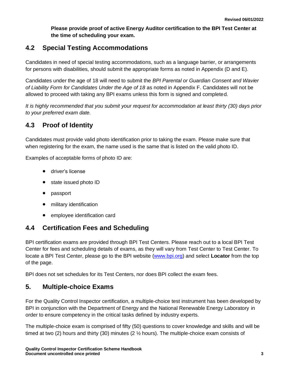**Please provide proof of active Energy Auditor certification to the BPI Test Center at the time of scheduling your exam.**

## **4.2 Special Testing Accommodations**

Candidates in need of special testing accommodations, such as a language barrier, or arrangements for persons with disabilities, should submit the appropriate forms as noted in Appendix (D and E).

Candidates under the age of 18 will need to submit the *BPI Parental or Guardian Consent and Wavier of Liability Form for Candidates Under the Age of 18* as noted in Appendix F. Candidates will not be allowed to proceed with taking any BPI exams unless this form is signed and completed.

*It is highly recommended that you submit your request for accommodation at least thirty (30) days prior to your preferred exam date.*

## **4.3 Proof of Identity**

Candidates must provide valid photo identification prior to taking the exam. Please make sure that when registering for the exam, the name used is the same that is listed on the valid photo ID.

Examples of acceptable forms of photo ID are:

- driver's license
- state issued photo ID
- passport
- military identification
- employee identification card

## **4.4 Certification Fees and Scheduling**

BPI certification exams are provided through BPI Test Centers. Please reach out to a local BPI Test Center for fees and scheduling details of exams, as they will vary from Test Center to Test Center. To locate a BPI Test Center, please go to the BPI website [\(www.bpi.org\)](http://www.bpi.org/) and select **Locator** from the top of the page.

BPI does not set schedules for its Test Centers, nor does BPI collect the exam fees.

## <span id="page-5-0"></span>**5. Multiple-choice Exams**

For the Quality Control Inspector certification, a multiple-choice test instrument has been developed by BPI in conjunction with the Department of Energy and the National Renewable Energy Laboratory in order to ensure competency in the critical tasks defined by industry experts.

The multiple-choice exam is comprised of fifty (50) questions to cover knowledge and skills and will be timed at two (2) hours and thirty (30) minutes (2 ½ hours). The multiple-choice exam consists of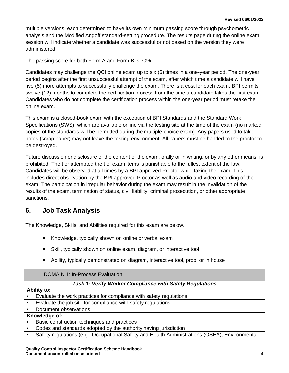multiple versions, each determined to have its own minimum passing score through psychometric analysis and the Modified Angoff standard-setting procedure. The results page during the online exam session will indicate whether a candidate was successful or not based on the version they were administered.

The passing score for both Form A and Form B is 70%.

Candidates may challenge the QCI online exam up to six (6) times in a one-year period. The one-year period begins after the first unsuccessful attempt of the exam, after which time a candidate will have five (5) more attempts to successfully challenge the exam. There is a cost for each exam. BPI permits twelve (12) months to complete the certification process from the time a candidate takes the first exam. Candidates who do not complete the certification process within the one-year period must retake the online exam.

This exam is a closed-book exam with the exception of BPI Standards and the Standard Work Specifications (SWS), which are available online via the testing site at the time of the exam (no marked copies of the standards will be permitted during the multiple-choice exam). Any papers used to take notes (scrap paper) may not leave the testing environment. All papers must be handed to the proctor to be destroyed.

Future discussion or disclosure of the content of the exam, orally or in writing, or by any other means, is prohibited. Theft or attempted theft of exam items is punishable to the fullest extent of the law. Candidates will be observed at all times by a BPI approved Proctor while taking the exam. This includes direct observation by the BPI approved Proctor as well as audio and video recording of the exam. The participation in irregular behavior during the exam may result in the invalidation of the results of the exam, termination of status, civil liability, criminal prosecution, or other appropriate sanctions.

## <span id="page-6-0"></span>**6. Job Task Analysis**

The Knowledge, Skills, and Abilities required for this exam are below.

- Knowledge, typically shown on online or verbal exam
- Skill, typically shown on online exam, diagram, or interactive tool
- Ability, typically demonstrated on diagram, interactive tool, prop, or in house

| <b>DOMAIN 1: In-Process Evaluation</b>                          |                                                                                                |  |  |  |
|-----------------------------------------------------------------|------------------------------------------------------------------------------------------------|--|--|--|
| <b>Task 1: Verify Worker Compliance with Safety Regulations</b> |                                                                                                |  |  |  |
| <b>Ability to:</b>                                              |                                                                                                |  |  |  |
| $\bullet$                                                       | Evaluate the work practices for compliance with safety regulations                             |  |  |  |
| $\bullet$                                                       | Evaluate the job site for compliance with safety regulations                                   |  |  |  |
|                                                                 | Document observations                                                                          |  |  |  |
| Knowledge of:                                                   |                                                                                                |  |  |  |
|                                                                 | Basic construction techniques and practices                                                    |  |  |  |
|                                                                 | Codes and standards adopted by the authority having jurisdiction                               |  |  |  |
|                                                                 | Safety regulations (e.g., Occupational Safety and Health Administrations (OSHA), Environmental |  |  |  |
|                                                                 |                                                                                                |  |  |  |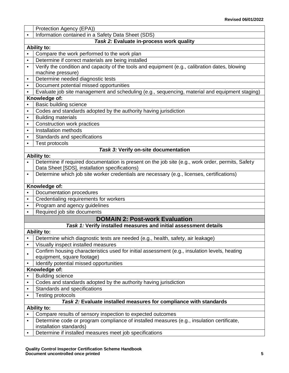|                        | Protection Agency (EPA))                                                                          |  |  |  |  |
|------------------------|---------------------------------------------------------------------------------------------------|--|--|--|--|
| $\bullet$              | Information contained in a Safety Data Sheet (SDS)                                                |  |  |  |  |
|                        | Task 2: Evaluate in-process work quality                                                          |  |  |  |  |
|                        | Ability to:                                                                                       |  |  |  |  |
|                        | Compare the work performed to the work plan                                                       |  |  |  |  |
| $\bullet$              | Determine if correct materials are being installed                                                |  |  |  |  |
| $\bullet$              | Verify the condition and capacity of the tools and equipment (e.g., calibration dates, blowing    |  |  |  |  |
|                        | machine pressure)                                                                                 |  |  |  |  |
| $\bullet$              | Determine needed diagnostic tests                                                                 |  |  |  |  |
| $\bullet$              | Document potential missed opportunities                                                           |  |  |  |  |
| $\bullet$              | Evaluate job site management and scheduling (e.g., sequencing, material and equipment staging)    |  |  |  |  |
| Knowledge of:          |                                                                                                   |  |  |  |  |
|                        | Basic building science                                                                            |  |  |  |  |
| $\bullet$              | Codes and standards adopted by the authority having jurisdiction                                  |  |  |  |  |
| $\bullet$              | <b>Building materials</b>                                                                         |  |  |  |  |
| $\bullet$              | Construction work practices                                                                       |  |  |  |  |
| $\bullet$              | Installation methods                                                                              |  |  |  |  |
| $\bullet$              | Standards and specifications                                                                      |  |  |  |  |
| $\bullet$              | <b>Test protocols</b>                                                                             |  |  |  |  |
|                        | Task 3: Verify on-site documentation                                                              |  |  |  |  |
|                        | Ability to:                                                                                       |  |  |  |  |
| $\bullet$              | Determine if required documentation is present on the job site (e.g., work order, permits, Safety |  |  |  |  |
|                        | Data Sheet [SDS], installation specifications)                                                    |  |  |  |  |
| $\bullet$              | Determine which job site worker credentials are necessary (e.g., licenses, certifications)        |  |  |  |  |
|                        |                                                                                                   |  |  |  |  |
|                        |                                                                                                   |  |  |  |  |
|                        | Knowledge of:                                                                                     |  |  |  |  |
| $\bullet$              | Documentation procedures                                                                          |  |  |  |  |
| $\bullet$              | Credentialing requirements for workers                                                            |  |  |  |  |
| $\bullet$              | Program and agency guidelines                                                                     |  |  |  |  |
| $\bullet$              | Required job site documents                                                                       |  |  |  |  |
|                        | <b>DOMAIN 2: Post-work Evaluation</b>                                                             |  |  |  |  |
|                        | Task 1: Verify installed measures and initial assessment details                                  |  |  |  |  |
|                        | Ability to:                                                                                       |  |  |  |  |
| $\bullet$<br>$\bullet$ | Determine which diagnostic tests are needed (e.g., health, safety, air leakage)                   |  |  |  |  |
|                        | Visually inspect installed measures                                                               |  |  |  |  |
| $\bullet$              | Confirm housing characteristics used for initial assessment (e.g., insulation levels, heating     |  |  |  |  |
| $\bullet$              | equipment, square footage)                                                                        |  |  |  |  |
|                        | Identify potential missed opportunities                                                           |  |  |  |  |
| $\bullet$              | Knowledge of:<br><b>Building science</b>                                                          |  |  |  |  |
| $\bullet$              | Codes and standards adopted by the authority having jurisdiction                                  |  |  |  |  |
| $\bullet$              | Standards and specifications                                                                      |  |  |  |  |
| $\bullet$              | <b>Testing protocols</b>                                                                          |  |  |  |  |
|                        | Task 2: Evaluate installed measures for compliance with standards                                 |  |  |  |  |
|                        | <b>Ability to:</b>                                                                                |  |  |  |  |
| $\bullet$              | Compare results of sensory inspection to expected outcomes                                        |  |  |  |  |
| $\bullet$              | Determine code or program compliance of installed measures (e.g., insulation certificate,         |  |  |  |  |
|                        | installation standards)<br>Determine if installed measures meet job specifications                |  |  |  |  |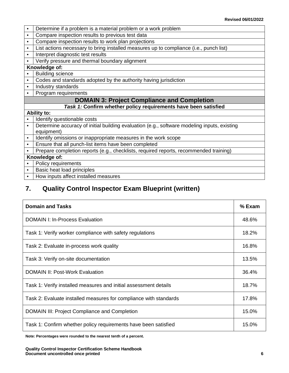- Determine if a problem is a material problem or a work problem
- Compare inspection results to previous test data
- Compare inspection results to work plan projections
- List actions necessary to bring installed measures up to compliance (i.e., punch list)
- Interpret diagnostic test results
- Verify pressure and thermal boundary alignment

#### **Knowledge of:**

- **Building science**
- Codes and standards adopted by the authority having jurisdiction
- | Industry standards
- Program requirements

#### **DOMAIN 3: Project Compliance and Completion**

#### *Task 1:* **Confirm whether policy requirements have been satisfied**

#### **Ability to:**

- Identify questionable costs
- Determine accuracy of initial building evaluation (e.g., software modeling inputs, existing equipment)
- I Identify omissions or inappropriate measures in the work scope
- Ensure that all punch-list items have been completed
- Prepare completion reports (e.g., checklists, required reports, recommended training)

#### **Knowledge of:**

- | Policy requirements
- Basic heat load principles
- How inputs affect installed measures

## <span id="page-8-0"></span>**7. Quality Control Inspector Exam Blueprint (written)**

| <b>Domain and Tasks</b>                                           |       |
|-------------------------------------------------------------------|-------|
| <b>DOMAIN I: In-Process Evaluation</b>                            | 48.6% |
| Task 1: Verify worker compliance with safety regulations          | 18.2% |
| Task 2: Evaluate in-process work quality                          | 16.8% |
| Task 3: Verify on-site documentation                              | 13.5% |
| <b>DOMAIN II: Post-Work Evaluation</b>                            | 36.4% |
| Task 1: Verify installed measures and initial assessment details  | 18.7% |
| Task 2: Evaluate installed measures for compliance with standards | 17.8% |
| <b>DOMAIN III: Project Compliance and Completion</b>              | 15.0% |
| Task 1: Confirm whether policy requirements have been satisfied   | 15.0% |

**Note: Percentages were rounded to the nearest tenth of a percent.**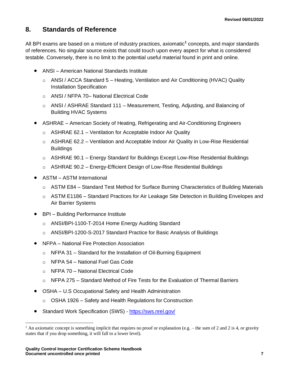## <span id="page-9-0"></span>**8. Standards of Reference**

All BPI exams are based on a mixture of industry practices, axiomatic**<sup>1</sup>** concepts, and major standards of references. No singular source exists that could touch upon every aspect for what is considered testable. Conversely, there is no limit to the potential useful material found in print and online.

- ANSI American National Standards Institute
	- $\circ$  ANSI / ACCA Standard 5 Heating, Ventilation and Air Conditioning (HVAC) Quality Installation Specification
	- o ANSI / NFPA 70– National Electrical Code
	- o ANSI / ASHRAE Standard 111 Measurement, Testing, Adjusting, and Balancing of Building HVAC Systems
- ASHRAE American Society of Heating, Refrigerating and Air-Conditioning Engineers
	- o ASHRAE 62.1 Ventilation for Acceptable Indoor Air Quality
	- $\circ$  ASHRAE 62.2 Ventilation and Acceptable Indoor Air Quality in Low-Rise Residential **Buildings**
	- $\circ$  ASHRAE 90.1 Energy Standard for Buildings Except Low-Rise Residential Buildings
	- $\circ$  ASHRAE 90.2 Energy-Efficient Design of Low-Rise Residential Buildings
- ASTM ASTM International
	- o ASTM E84 Standard Test Method for Surface Burning Characteristics of Building Materials
	- $\circ$  ASTM E1186 Standard Practices for Air Leakage Site Detection in Building Envelopes and Air Barrier Systems
- BPI Building Performance Institute
	- o ANSI/BPI-1100-T-2014 Home Energy Auditing Standard
	- o ANSI/BPI-1200-S-2017 Standard Practice for Basic Analysis of Buildings
- NFPA National Fire Protection Association
	- o NFPA 31 Standard for the Installation of Oil-Burning Equipment
	- o NFPA 54 National Fuel Gas Code
	- o NFPA 70 National Electrical Code
	- o NFPA 275 Standard Method of Fire Tests for the Evaluation of Thermal Barriers
- OSHA U.S Occupational Safety and Health Administration
	- o OSHA 1926 Safety and Health Regulations for Construction
- Standard Work Specification (SWS) <https://sws.nrel.gov/>

<sup>&</sup>lt;sup>1</sup> An axiomatic concept is something implicit that requires no proof or explanation (e.g. – the sum of 2 and 2 is 4, or gravity states that if you drop something, it will fall to a lower level).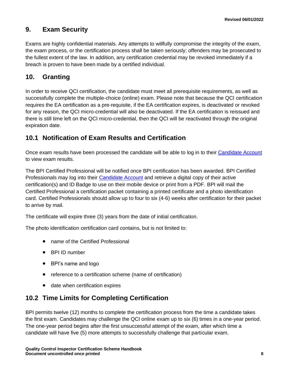## <span id="page-10-0"></span>**9. Exam Security**

Exams are highly confidential materials. Any attempts to willfully compromise the integrity of the exam, the exam process, or the certification process shall be taken seriously; offenders may be prosecuted to the fullest extent of the law. In addition, any certification credential may be revoked immediately if a breach is proven to have been made by a certified individual.

## <span id="page-10-1"></span>**10. Granting**

In order to receive QCI certification, the candidate must meet all prerequisite requirements, as well as successfully complete the multiple-choice (online) exam. Please note that because the QCI certification requires the EA certification as a pre-requisite, if the EA certification expires, is deactivated or revoked for any reason, the QCI micro-credential will also be deactivated. If the EA certification is reissued and there is still time left on the QCI micro-credential, then the QCI will be reactivated through the original expiration date.

## **10.1 Notification of Exam Results and Certification**

Once exam results have been processed the candidate will be able to log in to their [Candidate Account](http://www.bpi.org/login) to view exam results.

The BPI Certified Professional will be notified once BPI certification has been awarded. BPI Certified Professionals may log into their [Candidate Account](https://spero.bpi.org/) and retrieve a digital copy of their active certification(s) and ID Badge to use on their mobile device or print from a PDF. BPI will mail the Certified Professional a certification packet containing a printed certificate and a photo identification card. Certified Professionals should allow up to four to six (4-6) weeks after certification for their packet to arrive by mail.

The certificate will expire three (3) years from the date of initial certification.

The photo identification certification card contains, but is not limited to:

- name of the Certified Professional
- BPI ID number
- BPI's name and logo
- reference to a certification scheme (name of certification)
- date when certification expires

## **10.2 Time Limits for Completing Certification**

BPI permits twelve (12) months to complete the certification process from the time a candidate takes the first exam. Candidates may challenge the QCI online exam up to six (6) times in a one-year period. The one-year period begins after the first unsuccessful attempt of the exam, after which time a candidate will have five (5) more attempts to successfully challenge that particular exam.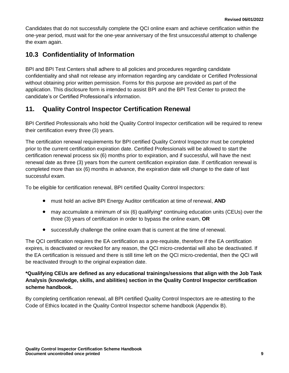Candidates that do not successfully complete the QCI online exam and achieve certification within the one-year period, must wait for the one-year anniversary of the first unsuccessful attempt to challenge the exam again.

## **10.3 Confidentiality of Information**

BPI and BPI Test Centers shall adhere to all policies and procedures regarding candidate confidentiality and shall not release any information regarding any candidate or Certified Professional without obtaining prior written permission. Forms for this purpose are provided as part of the application. This disclosure form is intended to assist BPI and the BPI Test Center to protect the candidate's or Certified Professional's information.

## <span id="page-11-0"></span>**11. Quality Control Inspector Certification Renewal**

BPI Certified Professionals who hold the Quality Control Inspector certification will be required to renew their certification every three (3) years.

The certification renewal requirements for BPI certified Quality Control Inspector must be completed prior to the current certification expiration date. Certified Professionals will be allowed to start the certification renewal process six (6) months prior to expiration, and if successful, will have the next renewal date as three (3) years from the current certification expiration date. If certification renewal is completed more than six (6) months in advance, the expiration date will change to the date of last successful exam.

To be eligible for certification renewal, BPI certified Quality Control Inspectors:

- must hold an active BPI Energy Auditor certification at time of renewal, **AND**
- may accumulate a minimum of six (6) qualifying\* continuing education units (CEUs) over the three (3) years of certification in order to bypass the online exam, **OR**
- successfully challenge the online exam that is current at the time of renewal.

The QCI certification requires the EA certification as a pre-requisite, therefore if the EA certification expires, is deactivated or revoked for any reason, the QCI micro-credential will also be deactivated. If the EA certification is reissued and there is still time left on the QCI micro-credential, then the QCI will be reactivated through to the original expiration date.

#### **\*Qualifying CEUs are defined as any educational trainings/sessions that align with the Job Task Analysis (knowledge, skills, and abilities) section in the Quality Control Inspector certification scheme handbook.**

By completing certification renewal, all BPI certified Quality Control Inspectors are re-attesting to the Code of Ethics located in the Quality Control Inspector scheme handbook (Appendix B).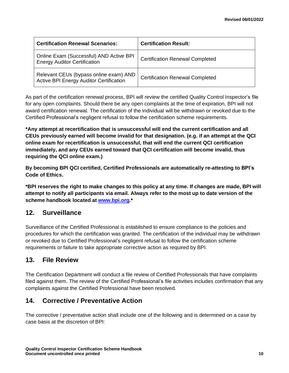| <b>Certification Renewal Scenarios:</b>                                                  | <b>Certification Result:</b>           |
|------------------------------------------------------------------------------------------|----------------------------------------|
| Online Exam (Successful) AND Active BPI<br><b>Energy Auditor Certification</b>           | <b>Certification Renewal Completed</b> |
| Relevant CEUs (bypass online exam) AND<br><b>Active BPI Energy Auditor Certification</b> | <b>Certification Renewal Completed</b> |

As part of the certification renewal process, BPI will review the certified Quality Control Inspector's file for any open complaints. Should there be any open complaints at the time of expiration, BPI will not award certification renewal. The certification of the individual will be withdrawn or revoked due to the Certified Professional's negligent refusal to follow the certification scheme requirements.

**\*Any attempt at recertification that is unsuccessful will end the current certification and all CEUs previously earned will become invalid for that designation. (e.g. if an attempt at the QCI online exam for recertification is unsuccessful, that will end the current QCI certification immediately, and any CEUs earned toward that QCI certification will become invalid, thus requiring the QCI online exam.)**

**By becoming BPI QCI certified, Certified Professionals are automatically re-attesting to BPI's Code of Ethics.**

**\*BPI reserves the right to make changes to this policy at any time. If changes are made, BPI will attempt to notify all participants via email. Always refer to the most up to date version of the scheme handbook located at [www.bpi.org.](http://www.bpi.org/)\***

## <span id="page-12-0"></span>**12. Surveillance**

Surveillance of the Certified Professional is established to ensure compliance to the policies and procedures for which the certification was granted. The certification of the individual may be withdrawn or revoked due to Certified Professional's negligent refusal to follow the certification scheme requirements or failure to take appropriate corrective action as required by BPI.

## <span id="page-12-1"></span>**13. File Review**

The Certification Department will conduct a file review of Certified Professionals that have complaints filed against them. The review of the Certified Professional's file activities includes confirmation that any complaints against the Certified Professional have been resolved.

## <span id="page-12-2"></span>**14. Corrective / Preventative Action**

The corrective / preventative action shall include one of the following and is determined on a case by case basis at the discretion of BPI: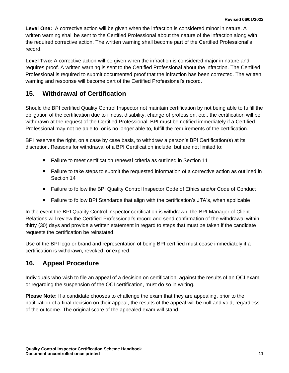**Level One:** A corrective action will be given when the infraction is considered minor in nature. A written warning shall be sent to the Certified Professional about the nature of the infraction along with the required corrective action. The written warning shall become part of the Certified Professional's record.

**Level Two:** A corrective action will be given when the infraction is considered major in nature and requires proof. A written warning is sent to the Certified Professional about the infraction. The Certified Professional is required to submit documented proof that the infraction has been corrected. The written warning and response will become part of the Certified Professional's record.

## <span id="page-13-0"></span>**15. Withdrawal of Certification**

Should the BPI certified Quality Control Inspector not maintain certification by not being able to fulfill the obligation of the certification due to illness, disability, change of profession, etc., the certification will be withdrawn at the request of the Certified Professional. BPI must be notified immediately if a Certified Professional may not be able to, or is no longer able to, fulfill the requirements of the certification.

BPI reserves the right, on a case by case basis, to withdraw a person's BPI Certification(s) at its discretion. Reasons for withdrawal of a BPI Certification include, but are not limited to:

- Failure to meet certification renewal criteria as outlined in Section 11
- Failure to take steps to submit the requested information of a corrective action as outlined in Section 14
- Failure to follow the BPI Quality Control Inspector Code of Ethics and/or Code of Conduct
- Failure to follow BPI Standards that align with the certification's JTA's, when applicable

In the event the BPI Quality Control Inspector certification is withdrawn; the BPI Manager of Client Relations will review the Certified Professional's record and send confirmation of the withdrawal within thirty (30) days and provide a written statement in regard to steps that must be taken if the candidate requests the certification be reinstated.

Use of the BPI logo or brand and representation of being BPI certified must cease immediately if a certification is withdrawn, revoked, or expired.

## <span id="page-13-1"></span>**16. Appeal Procedure**

Individuals who wish to file an appeal of a decision on certification, against the results of an QCI exam, or regarding the suspension of the QCI certification, must do so in writing.

**Please Note:** If a candidate chooses to challenge the exam that they are appealing, prior to the notification of a final decision on their appeal, the results of the appeal will be null and void, regardless of the outcome. The original score of the appealed exam will stand.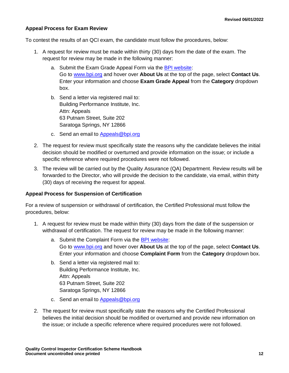#### **Appeal Process for Exam Review**

To contest the results of an QCI exam, the candidate must follow the procedures, below:

- 1. A request for review must be made within thirty (30) days from the date of the exam. The request for review may be made in the following manner:
	- a. Submit the Exam Grade Appeal Form via the [BPI website:](http://www.bpi.org/about-us/contact-us) Go to [www.bpi.org](http://www.bpi.org/) and hover over **About Us** at the top of the page, select **Contact Us**. Enter your information and choose **Exam Grade Appeal** from the **Category** dropdown box.
	- b. Send a letter via registered mail to: Building Performance Institute, Inc. Attn: Appeals 63 Putnam Street, Suite 202 Saratoga Springs, NY 12866
	- c. Send an email to [Appeals@bpi.org](mailto:Appeals@bpi.org)
- 2. The request for review must specifically state the reasons why the candidate believes the initial decision should be modified or overturned and provide information on the issue; or include a specific reference where required procedures were not followed.
- 3. The review will be carried out by the Quality Assurance (QA) Department. Review results will be forwarded to the Director, who will provide the decision to the candidate, via email, within thirty (30) days of receiving the request for appeal.

#### **Appeal Process for Suspension of Certification**

For a review of suspension or withdrawal of certification, the Certified Professional must follow the procedures, below:

- 1. A request for review must be made within thirty (30) days from the date of the suspension or withdrawal of certification. The request for review may be made in the following manner:
	- a. Submit the Complaint Form via the [BPI website:](http://www.bpi.org/about-us/contact-us) Go to [www.bpi.org](http://www.bpi.org/) and hover over **About Us** at the top of the page, select **Contact Us**. Enter your information and choose **Complaint Form** from the **Category** dropdown box.
	- b. Send a letter via registered mail to: Building Performance Institute, Inc. Attn: Appeals 63 Putnam Street, Suite 202 Saratoga Springs, NY 12866
	- c. Send an email to Appeals @bpi.org
- 2. The request for review must specifically state the reasons why the Certified Professional believes the initial decision should be modified or overturned and provide new information on the issue; or include a specific reference where required procedures were not followed.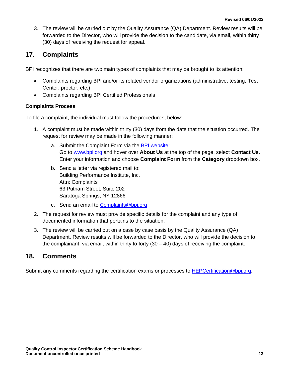3. The review will be carried out by the Quality Assurance (QA) Department. Review results will be forwarded to the Director, who will provide the decision to the candidate, via email, within thirty (30) days of receiving the request for appeal.

## <span id="page-15-0"></span>**17. Complaints**

BPI recognizes that there are two main types of complaints that may be brought to its attention:

- Complaints regarding BPI and/or its related vendor organizations (administrative, testing, Test Center, proctor, etc.)
- Complaints regarding BPI Certified Professionals

#### **Complaints Process**

To file a complaint, the individual must follow the procedures, below:

- 1. A complaint must be made within thirty (30) days from the date that the situation occurred. The request for review may be made in the following manner:
	- a. Submit the Complaint Form via the [BPI website:](http://www.bpi.org/about-us/contact-us) Go to [www.bpi.org](http://www.bpi.org/) and hover over **About Us** at the top of the page, select **Contact Us**. Enter your information and choose **Complaint Form** from the **Category** dropdown box.
	- b. Send a letter via registered mail to: Building Performance Institute, Inc. Attn: Complaints 63 Putnam Street, Suite 202 Saratoga Springs, NY 12866
	- c. Send an email to [Complaints@bpi.org](mailto:Complaints@bpi.org)
- 2. The request for review must provide specific details for the complaint and any type of documented information that pertains to the situation.
- 3. The review will be carried out on a case by case basis by the Quality Assurance (QA) Department. Review results will be forwarded to the Director, who will provide the decision to the complainant, via email, within thirty to forty  $(30 - 40)$  days of receiving the complaint.

## <span id="page-15-1"></span>**18. Comments**

Submit any comments regarding the certification exams or processes to [HEPCertification@bpi.org.](mailto:pilot@bpi.org)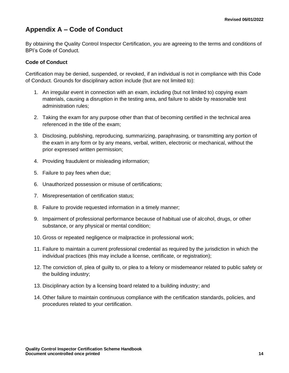## <span id="page-16-0"></span>**Appendix A – Code of Conduct**

By obtaining the Quality Control Inspector Certification, you are agreeing to the terms and conditions of BPI's Code of Conduct.

#### **Code of Conduct**

Certification may be denied, suspended, or revoked, if an individual is not in compliance with this Code of Conduct. Grounds for disciplinary action include (but are not limited to):

- 1. An irregular event in connection with an exam, including (but not limited to) copying exam materials, causing a disruption in the testing area, and failure to abide by reasonable test administration rules;
- 2. Taking the exam for any purpose other than that of becoming certified in the technical area referenced in the title of the exam;
- 3. Disclosing, publishing, reproducing, summarizing, paraphrasing, or transmitting any portion of the exam in any form or by any means, verbal, written, electronic or mechanical, without the prior expressed written permission;
- 4. Providing fraudulent or misleading information;
- 5. Failure to pay fees when due;
- 6. Unauthorized possession or misuse of certifications;
- 7. Misrepresentation of certification status;
- 8. Failure to provide requested information in a timely manner;
- 9. Impairment of professional performance because of habitual use of alcohol, drugs, or other substance, or any physical or mental condition;
- 10. Gross or repeated negligence or malpractice in professional work;
- 11. Failure to maintain a current professional credential as required by the jurisdiction in which the individual practices (this may include a license, certificate, or registration);
- 12. The conviction of, plea of guilty to, or plea to a felony or misdemeanor related to public safety or the building industry;
- 13. Disciplinary action by a licensing board related to a building industry; and
- 14. Other failure to maintain continuous compliance with the certification standards, policies, and procedures related to your certification.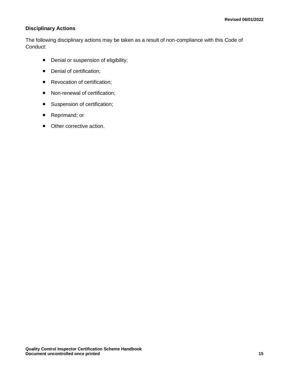#### **Disciplinary Actions**

The following disciplinary actions may be taken as a result of non-compliance with this Code of Conduct:

- Denial or suspension of eligibility;
- Denial of certification;
- Revocation of certification;
- Non-renewal of certification;
- Suspension of certification;
- Reprimand; or
- Other corrective action.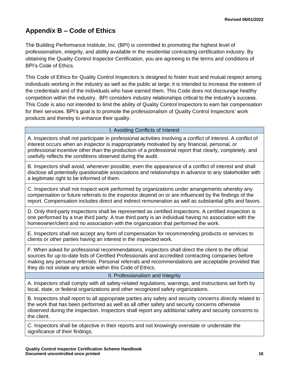## <span id="page-18-0"></span>**Appendix B – Code of Ethics**

The Building Performance Institute, Inc. (BPI) is committed to promoting the highest level of professionalism, integrity, and ability available in the residential contracting certification industry. By obtaining the Quality Control Inspector Certification, you are agreeing to the terms and conditions of BPI's Code of Ethics.

This Code of Ethics for Quality Control Inspectors is designed to foster trust and mutual respect among individuals working in the industry as well as the public at large; it is intended to increase the esteem of the credentials and of the individuals who have earned them. This Code does not discourage healthy competition within the industry. BPI considers industry relationships critical to the industry's success. This Code is also not intended to limit the ability of Quality Control Inspectors to earn fair compensation for their services. BPI's goal is to promote the professionalism of Quality Control Inspectors' work products and thereby to enhance their quality.

#### I. Avoiding Conflicts of Interest

A. Inspectors shall not participate in professional activities involving a conflict of interest. A conflict of interest occurs when an inspector is inappropriately motivated by any financial, personal, or professional incentive other than the production of a professional report that clearly, completely, and usefully reflects the conditions observed during the audit.

B. Inspectors shall avoid, whenever possible, even the appearance of a conflict of interest and shall disclose all potentially questionable associations and relationships in advance to any stakeholder with a legitimate right to be informed of them.

C. Inspectors shall not inspect work performed by organizations under arrangements whereby any compensation or future referrals to the inspector depend on or are influenced by the findings of the report. Compensation includes direct and indirect remuneration as well as substantial gifts and favors.

D. Only third-party inspections shall be represented as certified inspections. A certified inspection is one performed by a true third party. A true third party is an individual having no association with the homeowner/client and no association with the organization that performed the work.

E. Inspectors shall not accept any form of compensation for recommending products or services to clients or other parties having an interest in the inspected work.

F. When asked for professional recommendations, inspectors shall direct the client to the official sources for up-to-date lists of Certified Professionals and accredited contracting companies before making any personal referrals. Personal referrals and recommendations are acceptable provided that they do not violate any article within this Code of Ethics.

#### II. Professionalism and Integrity

A. Inspectors shall comply with all safety-related regulations, warnings, and instructions set forth by local, state, or federal organizations and other recognized safety organizations.

B. Inspectors shall report to all appropriate parties any safety and security concerns directly related to the work that has been performed as well as all other safety and security concerns otherwise observed during the inspection. Inspectors shall report any additional safety and security concerns to the client.

C. Inspectors shall be objective in their reports and not knowingly overstate or understate the significance of their findings.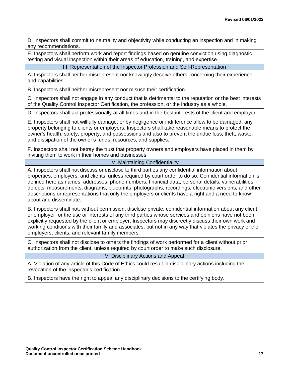D. Inspectors shall commit to neutrality and objectivity while conducting an inspection and in making any recommendations.

E. Inspectors shall perform work and report findings based on genuine conviction using diagnostic testing and visual inspection within their areas of education, training, and expertise.

III. Representation of the Inspector Profession and Self-Representation

A. Inspectors shall neither misrepresent nor knowingly deceive others concerning their experience and capabilities.

B. Inspectors shall neither misrepresent nor misuse their certification.

C. Inspectors shall not engage in any conduct that is detrimental to the reputation or the best interests of the Quality Control Inspector Certification, the profession, or the industry as a whole.

D. Inspectors shall act professionally at all times and in the best interests of the client and employer.

E. Inspectors shall not willfully damage, or by negligence or indifference allow to be damaged, any property belonging to clients or employers. Inspectors shall take reasonable means to protect the owner's health, safety, property, and possessions and also to prevent the undue loss, theft, waste, and dissipation of the owner's funds, resources, and supplies.

F. Inspectors shall not betray the trust that property owners and employers have placed in them by inviting them to work in their homes and businesses.

#### IV. Maintaining Confidentiality

A. Inspectors shall not discuss or disclose to third parties any confidential information about properties, employers, and clients, unless required by court order to do so. Confidential information is defined here as names, addresses, phone numbers, financial data, personal details, vulnerabilities, defects, measurements, diagrams, blueprints, photographs, recordings, electronic versions, and other descriptions or representations that only the employers or clients have a right and a need to know about and disseminate.

B. Inspectors shall not, without permission, disclose private, confidential information about any client or employer for the use or interests of any third parties whose services and opinions have not been explicitly requested by the client or employer. Inspectors may discreetly discuss their own work and working conditions with their family and associates, but not in any way that violates the privacy of the employers, clients, and relevant family members.

C. Inspectors shall not disclose to others the findings of work performed for a client without prior authorization from the client, unless required by court order to make such disclosure.

#### V. Disciplinary Actions and Appeal

A. Violation of any article of this Code of Ethics could result in disciplinary actions including the revocation of the inspector's certification.

B. Inspectors have the right to appeal any disciplinary decisions to the certifying body.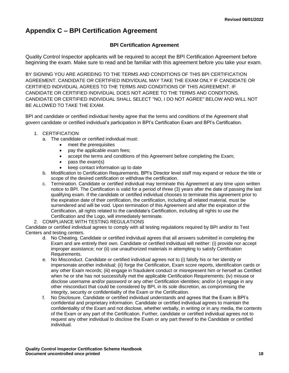## <span id="page-20-0"></span>**Appendix C – BPI Certification Agreement**

#### **BPI Certification Agreement**

Quality Control Inspector applicants will be required to accept the BPI Certification Agreement before beginning the exam. Make sure to read and be familiar with this agreement before you take your exam.

BY SIGNING YOU ARE AGREEING TO THE TERMS AND CONDITIONS OF THIS BPI CERTIFICATION AGREEMENT. CANDIDATE OR CERTIFIED INDIVIDUAL MAY TAKE THE EXAM ONLY IF CANDIDATE OR CERTIFIED INDIVIDUAL AGREES TO THE TERMS AND CONDITIONS OF THIS AGREEMENT. IF CANDIDATE OR CERTIFIED INDIVIDUAL DOES NOT AGREE TO THE TERMS AND CONDITIONS, CANDIDATE OR CERTIFIED INDIVIDUAL SHALL SELECT "NO, I DO NOT AGREE" BELOW AND WILL NOT BE ALLOWED TO TAKE THE EXAM.

BPI and candidate or certified individual hereby agree that the terms and conditions of the Agreement shall govern candidate or certified individual's participation in BPI's Certification Exam and BPI's Certification.

#### 1. CERTIFICATION

- a. The candidate or certified individual must:
	- meet the prerequisites
		- pay the applicable exam fees;
		- accept the terms and conditions of this Agreement before completing the Exam;
		- pass the exam(s)
		- keep contact information up to date
- b. Modification to Certification Requirements. BPI's Director level staff may expand or reduce the title or scope of the desired certification or withdraw the certification.
- c. Termination. Candidate or certified individual may terminate this Agreement at any time upon written notice to BPI. The Certification is valid for a period of three (3) years after the date of passing the last qualifying exam. If the candidate or certified individual chooses to terminate this agreement prior to the expiration date of their certification, the certification, including all related material, must be surrendered and will be void. Upon termination of this Agreement and after the expiration of the Certification, all rights related to the candidate's Certification, including all rights to use the Certification and the Logo, will immediately terminate.
- 2. COMPLIANCE WITH TESTING REGULATIONS

Candidate or certified individual agrees to comply with all testing regulations required by BPI and/or its Test Centers and testing centers.

- d. No Cheating. Candidate or certified individual agrees that all answers submitted in completing the Exam and are entirely their own. Candidate or certified individual will neither: (i) provide nor accept improper assistance; nor (ii) use unauthorized materials in attempting to satisfy Certification Requirements.
- e. No Misconduct. Candidate or certified individual agrees not to (i) falsify his or her identity or impersonate another individual; (ii) forge the Certification, Exam score reports, identification cards or any other Exam records; (iii) engage in fraudulent conduct or misrepresent him or herself as Certified when he or she has not successfully met the applicable Certification Requirements; (iv) misuse or disclose username and/or password or any other Certification identities; and/or (v) engage in any other misconduct that could be considered by BPI, in its sole discretion, as compromising the integrity, security or confidentiality of the Exam or the Certification.
- f. No Disclosure. Candidate or certified individual understands and agrees that the Exam is BPI's confidential and proprietary information. Candidate or certified individual agrees to maintain the confidentiality of the Exam and not disclose, whether verbally, in writing or in any media, the contents of the Exam or any part of the Certification. Further, candidate or certified individual agrees not to request any other individual to disclose the Exam or any part thereof to the Candidate or certified individual.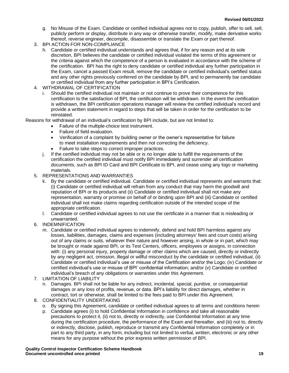- g. No Misuse of the Exam. Candidate or certified individual agrees not to copy, publish, offer to sell, sell, publicly perform or display, distribute in any way or otherwise transfer, modify, make derivative works thereof, reverse engineer, decompile, disassemble or translate the Exam or part thereof.
- 3. BPI ACTION FOR NON-COMPLIANCE
	- h. Candidate or certified individual understands and agrees that, if for any reason and at its sole discretion, BPI believes the candidate or certified individual violated the terms of this agreement or the criteria against which the competence of a person is evaluated in accordance with the scheme of the certification. BPI has the right to deny candidate or certified individual any further participation in the Exam, cancel a passed Exam result, remove the candidate or certified individual's certified status and any other rights previously conferred on the candidate by BPI, and to permanently bar candidate or certified individual from any further participation in BPI's Certification.
- 4. WITHDRAWAL OF CERTIFICATION
	- Should the certified individual not maintain or not continue to prove their competence for this certification to the satisfaction of BPI, the certification will be withdrawn. In the event the certification is withdrawn, the BPI certification operations manager will review the certified individual's record and provide a written statement in regard to steps that will be taken in order for the certification to be reinstated.

Reasons for withdrawal of an individual's certification by BPI include, but are not limited to:

- Failure of the multiple-choice test instrument.
- Failure of field evaluation.
- Verification of a complaint by building owner or the owner's representative for failure to meet installation requirements and then not correcting the deficiency.
- Failure to take steps to correct improper practices.
- j. If the certified individual may not be able or is no longer able to fulfill the requirements of the certification the certified individual must notify BPI immediately and surrender all certification documents, such as BPI ID Card and BPI Certificate to BPI, and cease using any logo or marketing materials.
- 5. REPRESENTATIONS AND WARRANTIES
	- k. By the candidate or certified individual. Candidate or certified individual represents and warrants that: (i) Candidate or certified individual will refrain from any conduct that may harm the goodwill and reputation of BPI or its products and (ii) Candidate or certified individual shall not make any representation, warranty or promise on behalf of or binding upon BPI and (iii) Candidate or certified individual shall not make claims regarding certification outside of the intended scope of the appropriate certification.
	- l. Candidate or certified individual agrees to not use the certificate in a manner that is misleading or unwarranted.
- 6. INDEMNIFICATION
	- m. Candidate or certified individual agrees to indemnify, defend and hold BPI harmless against any losses, liabilities, damages, claims and expenses (including attorneys' fees and court costs) arising out of any claims or suits, whatever their nature and however arising, in whole or in part, which may be brought or made against BPI, or its Test Centers, officers, employees or assigns, in connection with: (i) any personal injury, property damage or other claims which are caused, directly or indirectly by any negligent act, omission, illegal or willful misconduct by the candidate or certified individual, (ii) Candidate or certified individual's use or misuse of the Certification and/or the Logo; (iv) Candidate or certified individual's use or misuse of BPI' confidential information; and/or (v) Candidate or certified individual's breach of any obligations or warranties under this Agreement.
- 7. LIMITATION OF LIABILITY
	- n. Damages. BPI shall not be liable for any indirect, incidental, special, punitive, or consequential damages or any loss of profits, revenue, or data. BPI's liability for direct damages, whether in contract, tort or otherwise, shall be limited to the fees paid to BPI under this Agreement.
- 8. CONFIDENTIALITY UNDERTAKING
	- o. By signing this Agreement, candidate or certified individual agrees to all terms and conditions herein
	- p. Candidate agrees (i) to hold Confidential Information in confidence and take all reasonable precautions to protect it, (ii) not to, directly or indirectly, use Confidential Information at any time during the certification procedure, the performance of the Exam and thereafter, and (iii) not to, directly or indirectly, disclose, publish, reproduce or transmit any Confidential Information completely or in part to any third party, in any form, including but not limited to verbal, written, electronic or any other means for any purpose without the prior express written permission of BPI.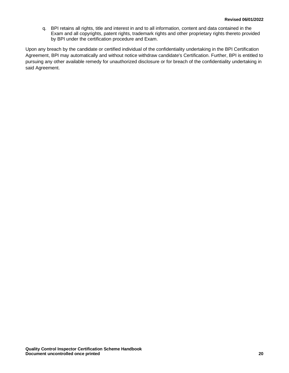q. BPI retains all rights, title and interest in and to all information, content and data contained in the Exam and all copyrights, patent rights, trademark rights and other proprietary rights thereto provided by BPI under the certification procedure and Exam.

Upon any breach by the candidate or certified individual of the confidentiality undertaking in the BPI Certification Agreement, BPI may automatically and without notice withdraw candidate's Certification. Further, BPI is entitled to pursuing any other available remedy for unauthorized disclosure or for breach of the confidentiality undertaking in said Agreement.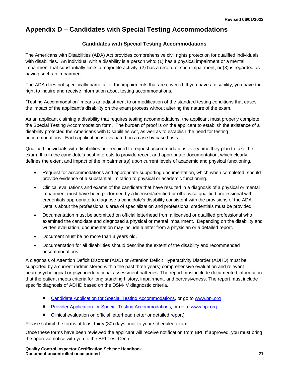## <span id="page-23-0"></span>**Appendix D – Candidates with Special Testing Accommodations**

#### **Candidates with Special Testing Accommodations**

The Americans with Disabilities (ADA) Act provides comprehensive civil rights protection for qualified individuals with disabilities. An individual with a disability is a person who: (1) has a physical impairment or a mental impairment that substantially limits a major life activity, (2) has a record of such impairment, or (3) is regarded as having such an impairment.

The ADA does not specifically name all of the impairments that are covered. If you have a disability, you have the right to inquire and receive information about testing accommodations.

"Testing Accommodation" means an adjustment to or modification of the standard testing conditions that eases the impact of the applicant's disability on the exam process without altering the nature of the exam.

As an applicant claiming a disability that requires testing accommodations, the applicant must properly complete the Special Testing Accommodation form. The burden of proof is on the applicant to establish the existence of a disability protected the Americans with Disabilities Act, as well as to establish the need for testing accommodations. Each application is evaluated on a case by case basis.

Qualified individuals with disabilities are required to request accommodations every time they plan to take the exam. It is in the candidate's best interests to provide recent and appropriate documentation, which clearly defines the extent and impact of the impairment(s) upon current levels of academic and physical functioning.

- Request for accommodations and appropriate supporting documentation, which when completed, should provide evidence of a substantial limitation to physical or academic functioning.
- Clinical evaluations and exams of the candidate that have resulted in a diagnosis of a physical or mental impairment must have been performed by a licensed/certified or otherwise qualified professional with credentials appropriate to diagnose a candidate's disability consistent with the provisions of the ADA. Details about the professional's area of specialization and professional credentials must be provided.
- Documentation must be submitted on official letterhead from a licensed or qualified professional who examined the candidate and diagnosed a physical or mental impairment. Depending on the disability and written evaluation, documentation may include a letter from a physician or a detailed report.
- Document must be no more than 3 years old.
- Documentation for all disabilities should describe the extent of the disability and recommended accommodations.

A diagnosis of Attention Deficit Disorder (ADD) or Attention Deficit Hyperactivity Disorder (ADHD) must be supported by a current (administered within the past three years) comprehensive evaluation and relevant neuropsychological or psychoeducational assessment batteries. The report must include documented information that the patient meets criteria for long standing history, impairment, and pervasiveness. The report must include specific diagnosis of ADHD based on the DSM-IV diagnostic criteria.

- [Candidate Application for Special Testing Accommodations,](http://www.bpi.org/certified-professionals/testing-accommodations) or go t[o www.bpi.org](http://www.bpi.org/)
- [Provider Application for Special](http://www.bpi.org/certified-professionals/testing-accommodations) Testing Accommodations, or go to [www.bpi.org](http://www.bpi.org/)
- Clinical evaluation on official letterhead (letter or detailed report)

Please submit the forms at least thirty (30) days prior to your scheduled exam.

Once these forms have been reviewed the applicant will receive notification from BPI. If approved, you must bring the approval notice with you to the BPI Test Center.

**Quality Control Inspector Certification Scheme Handbook Document uncontrolled once printed 21**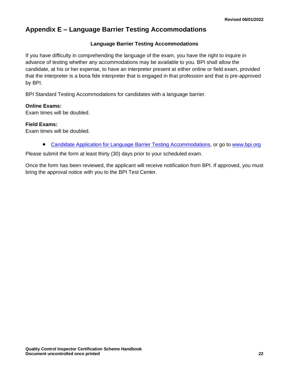## <span id="page-24-0"></span>**Appendix E – Language Barrier Testing Accommodations**

#### **Language Barrier Testing Accommodations**

If you have difficulty in comprehending the language of the exam, you have the right to inquire in advance of testing whether any accommodations may be available to you. BPI shall allow the candidate, at his or her expense, to have an interpreter present at either online or field exam, provided that the interpreter is a bona fide interpreter that is engaged in that profession and that is pre-approved by BPI.

BPI Standard Testing Accommodations for candidates with a language barrier.

#### **Online Exams:**

Exam times will be doubled.

#### **Field Exams:**

Exam times will be doubled.

• [Candidate Application for Language](http://www.bpi.org/certified-professionals/testing-accommodations) Barrier Testing Accommodations, or go to [www.bpi.org](http://www.bpi.org/)

Please submit the form at least thirty (30) days prior to your scheduled exam.

Once the form has been reviewed, the applicant will receive notification from BPI. If approved, you must bring the approval notice with you to the BPI Test Center.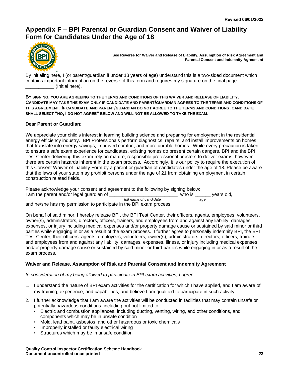## <span id="page-25-0"></span>**Appendix F – BPI Parental or Guardian Consent and Waiver of Liability Form for Candidates Under the Age of 18**



**See Reverse for Waiver and Release of Liability, Assumption of Risk Agreement and Parental Consent and Indemnity Agreement**

By initialing here, I (or parent/guardian if under 18 years of age) understand this is a two-sided document which contains important information on the reverse of this form and requires my signature on the final page \_\_\_\_\_\_\_\_\_\_\_ (Initial here).

**BY SIGNING, YOU ARE AGREEING TO THE TERMS AND CONDITIONS OF THIS WAIVER AND RELEASE OF LIABILITY. CANDIDATE MAY TAKE THE EXAM ONLY IF CANDIDATE AND PARENT/GUARDIAN AGREES TO THE TERMS AND CONDITIONS OF THIS AGREEMENT. IF CANDIDATE AND PARENT/GUARDIAN DO NOT AGREE TO THE TERMS AND CONDITIONS, CANDIDATE SHALL SELECT "NO, I DO NOT AGREE" BELOW AND WILL NOT BE ALLOWED TO TAKE THE EXAM.**

#### **Dear Parent or Guardian**:

We appreciate your child's interest in learning building science and preparing for employment in the residential energy efficiency industry. BPI Professionals perform diagnostics, repairs, and install improvements on homes that translate into energy savings, improved comfort, and more durable homes. While every precaution is taken to ensure a safe exam experience for candidates, existing homes do present certain dangers. BPI and the BPI Test Center delivering this exam rely on mature, responsible professional proctors to deliver exams, however there are certain hazards inherent in the exam process. Accordingly, it is our policy to require the execution of this Consent Waiver of Liability Form by a parent or guardian of candidates under the age of 18. Please be aware that the laws of your state may prohibit persons under the age of 21 from obtaining employment in certain construction related fields.

Please acknowledge your consent and agreement to the following by signing below:

I am the parent and/or legal guardian of \_\_\_\_\_\_\_\_\_\_\_\_\_\_\_\_\_\_\_\_\_\_\_\_\_, who is \_\_\_\_\_\_ years old,  *full name of candidate age*

and he/she has my permission to participate in the BPI exam process.

On behalf of said minor, I hereby release BPI, the BPI Test Center, their officers, agents, employees, volunteers, owner(s), administrators, directors, officers, trainers, and employees from and against any liability, damages, expenses, or injury including medical expenses and/or property damage cause or sustained by said minor or third parties while engaging in or as a result of the exam process. I further agree to personally indemnify BPI, the BPI Test Center, their officers, agents, employees, volunteers, owner(s), administrators, directors, officers, trainers, and employees from and against any liability, damages, expenses, illness, or injury including medical expenses and/or property damage cause or sustained by said minor or third parties while engaging in or as a result of the exam process.

#### **Waiver and Release, Assumption of Risk and Parental Consent and Indemnity Agreement**

*In consideration of my being allowed to participate in BPI exam activities, I agree:*

- 1. I understand the nature of BPI exam activities for the certification for which I have applied, and I am aware of my training, experience, and capabilities, and believe I am qualified to participate in such activity.
- 2. I further acknowledge that I am aware the activities will be conducted in facilities that may contain unsafe or potentially hazardous conditions, including but not limited to:
	- Electric and combustion appliances, including ducting, venting, wiring, and other conditions, and components which may be in unsafe condition
	- Mold, lead paint, asbestos, and other hazardous or toxic chemicals
	- Improperly installed or faulty electrical wiring
	- Structures which may be in unsafe condition

**Quality Control Inspector Certification Scheme Handbook Document uncontrolled once printed 23**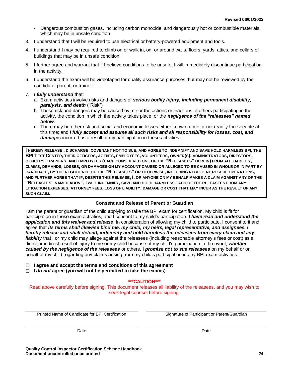- Dangerous combustion gases, including carbon monoxide, and dangerously hot or combustible materials, which may be in unsafe condition
- 3. I understand that I will be required to use electrical or battery-powered equipment and tools.
- 4. I understand I may be required to climb on or walk in, on, or around walls, floors, yards, attics, and cellars of buildings that may be in unsafe condition.
- 5. I further agree and warrant that if I believe conditions to be unsafe, I will immediately discontinue participation in the activity.
- 6. I understand the exam will be videotaped for quality assurance purposes, but may not be reviewed by the candidate, parent, or trainer.
- 7. *I fully understand* that:
	- a. Exam activities involve risks and dangers of *serious bodily injury, including permanent disability, paralysis, and death* ("Risk").
	- b. These risk and dangers may be caused by me or the actions or inactions of others participating in the activity, the condition in which the activity takes place, or the *negligence of the "releasees" named below*.
	- c. There may be other risk and social and economic losses either known to me or not readily foreseeable at this time; and *I fully accept and assume all such risks and all responsibility for losses, cost, and damages* incurred as a result of my participation in these activities.

**I HEREBY RELEASE , DISCHARGE, COVENANT NOT TO SUE, AND AGREE TO INDEMNIFY AND SAVE HOLD HARMLESS BPI, THE**  BPI TEST CENTER, THEIR OFFICERS, AGENTS, EMPLOYEES, VOLUNTEERS, OWNER(S), ADMINISTRATORS, DIRECTORS, **OFFICERS, TRAINERS, AND EMPLOYEES (EACH CONSIDERED ONE OF THE "RELEASEES" HEREIN) FROM ALL LIABILITY, CLAIMS, DEMANDS, LOSSES, OR DAMAGES ON MY ACCOUNT CAUSED OR ALLEGED TO BE CAUSED IN WHOLE OR IN PART BY CANDIDATE, BY THE NEGLIGENCE OF THE "RELEASEES" OR OTHERWISE, INCLUDING NEGLIGENT RESCUE OPERATIONS, AND FURTHER AGREE THAT IF, DESPITE THIS RELEASE, I, OR ANYONE ON MY BEHALF MAKES A CLAIM AGAINST ANY OF THE "RELEASEES" NAMED ABOVE, I WILL INDEMNIFY, SAVE AND HOLD HARMLESS EACH OF THE RELEASEES FROM ANY LITIGATION EXPENSES, ATTORNEY FEES, LOSS OF LIABILITY, DAMAGE OR COST THAT MAY INCUR AS THE RESULT OF ANY SUCH CLAIM.**

#### **Consent and Release of Parent or Guardian**

I am the parent or guardian of the child applying to take the BPI exam for certification. My child is fit for participation in these exam activities, and I consent to my child's participation. *I have read and understand the application and this waiver and release*. In consideration of allowing my child to participate, I consent to it and agree that *its terms shall likewise bind me, my child, my heirs, legal representative, and assignees. I hereby release and shall defend, indemnify and hold harmless the releasees from every claim and any liability* that I or my child may allege against the releasees (including reasonable attorney's fees or cost) as a direct or indirect result of injury to me or my child because of my child's participation in the event, *whether caused by the negligence of the releasees* or others. **I** *promise not to sue releasees* on my behalf or on behalf of my child regarding any claims arising from my child's participation in any BPI exam activities.

 **I agree and accept the terms and conditions of this agreement**

 **I** *do not* **agree (you will not be permitted to take the exams)**

#### **\*\*\*CAUTION\*\*\***

Read above carefully before signing. This document releases all liability of the releasees, and you may wish to seek legal counsel before signing.

Printed Name of Candidate for BPI Certification Signature of Participant or Parent/Guardian

Date **Date** Date **Date** Date **Date** Date **Date**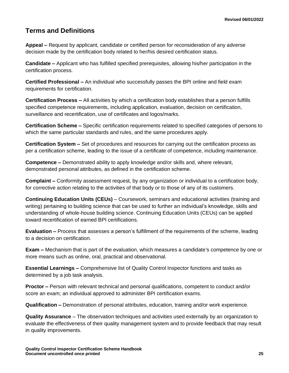## <span id="page-27-0"></span>**Terms and Definitions**

**Appeal –** Request by applicant, candidate or certified person for reconsideration of any adverse decision made by the certification body related to her/his desired certification status.

**Candidate –** Applicant who has fulfilled specified prerequisites, allowing his/her participation in the certification process.

**Certified Professional –** An individual who successfully passes the BPI online and field exam requirements for certification.

**Certification Process –** All activities by which a certification body establishes that a person fulfills specified competence requirements, including application, evaluation, decision on certification, surveillance and recertification, use of certificates and logos/marks.

**Certification Scheme –** Specific certification requirements related to specified categories of persons to which the same particular standards and rules, and the same procedures apply.

**Certification System –** Set of procedures and resources for carrying out the certification process as per a certification scheme, leading to the issue of a certificate of competence, including maintenance.

**Competence –** Demonstrated ability to apply knowledge and/or skills and, where relevant, demonstrated personal attributes, as defined in the certification scheme.

**Complaint –** Conformity assessment request, by any organization or individual to a certification body, for corrective action relating to the activities of that body or to those of any of its customers.

**Continuing Education Units (CEUs)** – Coursework, seminars and educational activities (training and writing) pertaining to building science that can be used to further an individual's knowledge, skills and understanding of whole-house building science. Continuing Education Units (CEUs) can be applied toward recertification of earned BPI certifications.

**Evaluation –** Process that assesses a person's fulfillment of the requirements of the scheme, leading to a decision on certification.

**Exam –** Mechanism that is part of the evaluation, which measures a candidate's competence by one or more means such as online, oral, practical and observational.

**Essential Learnings –** Comprehensive list of Quality Control Inspector functions and tasks as determined by a job task analysis.

**Proctor –** Person with relevant technical and personal qualifications, competent to conduct and/or score an exam; an individual approved to administer BPI certification exams.

**Qualification –** Demonstration of personal attributes, education, training and/or work experience.

**Quality Assurance** – The observation techniques and activities used externally by an organization to evaluate the effectiveness of their quality management system and to provide feedback that may result in quality improvements.